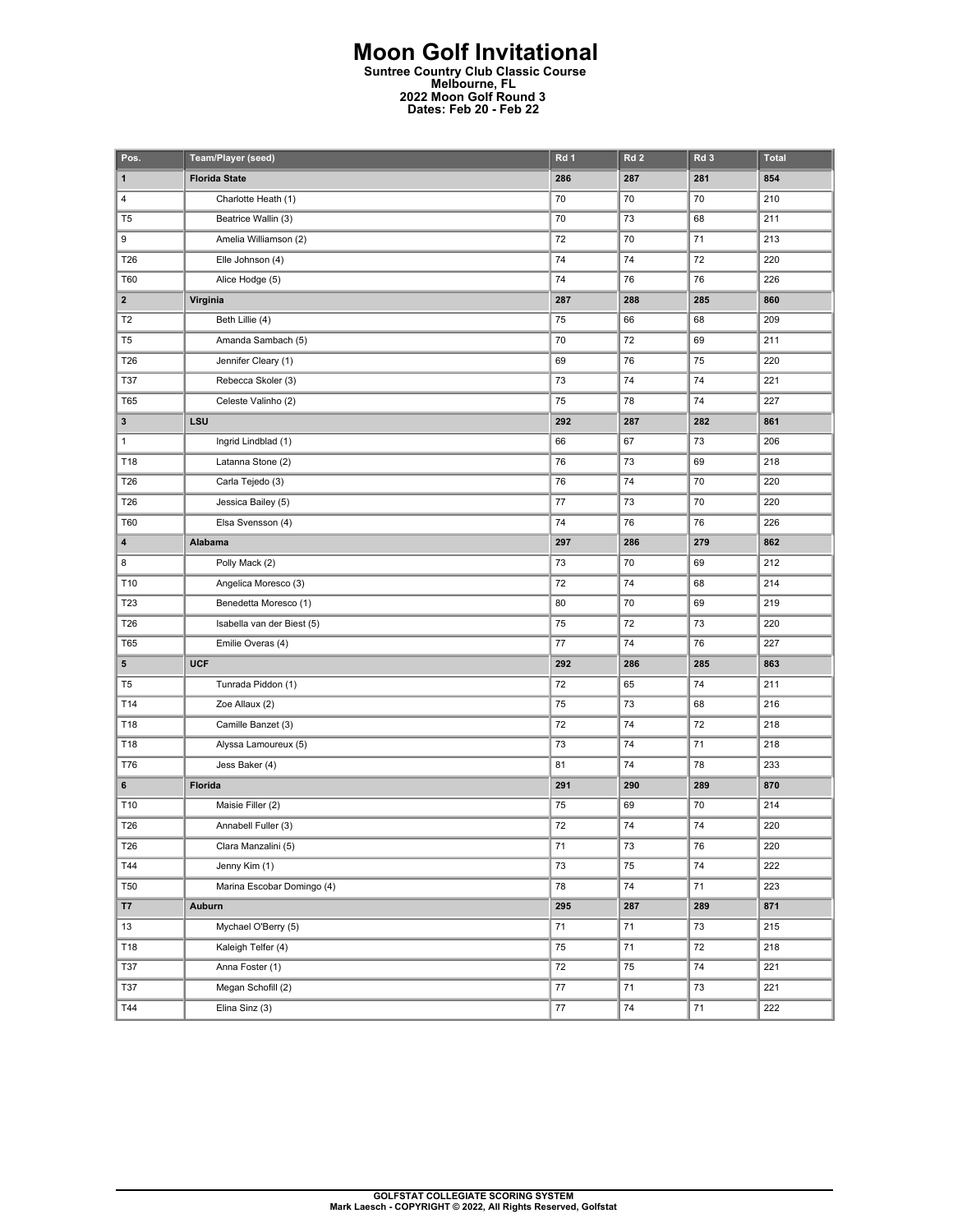## **Moon Golf Invitational Suntree Country Club Classic Course Melbourne, FL 2022 Moon Golf Round 3 Dates: Feb 20 - Feb 22**

| Pos.                    | Team/Player (seed)         | Rd 1 | Rd <sub>2</sub> | Rd <sub>3</sub> | <b>Total</b> |
|-------------------------|----------------------------|------|-----------------|-----------------|--------------|
| 1                       | <b>Florida State</b>       | 286  | 287             | 281             | 854          |
| 4                       | Charlotte Heath (1)        | 70   | 70              | 70              | 210          |
| T <sub>5</sub>          | Beatrice Wallin (3)        | 70   | 73              | 68              | 211          |
| 9                       | Amelia Williamson (2)      | 72   | 70              | 71              | 213          |
| T26                     | Elle Johnson (4)           | 74   | 74              | 72              | 220          |
| T60                     | Alice Hodge (5)            | 74   | 76              | 76              | 226          |
| $\overline{\mathbf{2}}$ | Virginia                   | 287  | 288             | 285             | 860          |
| T <sub>2</sub>          | Beth Lillie (4)            | 75   | 66              | 68              | 209          |
| T <sub>5</sub>          | Amanda Sambach (5)         | 70   | 72              | 69              | 211          |
| T26                     | Jennifer Cleary (1)        | 69   | 76              | 75              | 220          |
| <b>T37</b>              | Rebecca Skoler (3)         | 73   | 74              | 74              | 221          |
| <b>T65</b>              | Celeste Valinho (2)        | 75   | 78              | 74              | 227          |
| 3                       | LSU                        | 292  | 287             | 282             | 861          |
| 1                       | Ingrid Lindblad (1)        | 66   | 67              | 73              | 206          |
| T18                     | Latanna Stone (2)          | 76   | 73              | 69              | 218          |
| T26                     | Carla Tejedo (3)           | 76   | 74              | 70              | 220          |
| T26                     | Jessica Bailey (5)         | 77   | 73              | 70              | 220          |
| T60                     | Elsa Svensson (4)          | 74   | 76              | 76              | 226          |
| 4                       | Alabama                    | 297  | 286             | 279             | 862          |
| 8                       | Polly Mack (2)             | 73   | 70              | 69              | 212          |
| T10                     | Angelica Moresco (3)       | 72   | 74              | 68              | 214          |
| T23                     | Benedetta Moresco (1)      | 80   | 70              | 69              | 219          |
| T26                     | Isabella van der Biest (5) | 75   | 72              | 73              | 220          |
| <b>T65</b>              | Emilie Overas (4)          | 77   | 74              | 76              | 227          |
| 5                       | <b>UCF</b>                 | 292  | 286             | 285             | 863          |
| T <sub>5</sub>          | Tunrada Piddon (1)         | 72   | 65              | 74              | 211          |
| T14                     | Zoe Allaux (2)             | 75   | 73              | 68              | 216          |
| T18                     | Camille Banzet (3)         | 72   | 74              | 72              | 218          |
| T18                     | Alyssa Lamoureux (5)       | 73   | 74              | 71              | 218          |
| T76                     | Jess Baker (4)             | 81   | 74              | 78              | 233          |
| 6                       | Florida                    | 291  | 290             | 289             | 870          |
| T10                     | Maisie Filler (2)          | 75   | 69              | 70              | 214          |
| T26                     | Annabell Fuller (3)        | 72   | 74              | 74              | 220          |
| T26                     | Clara Manzalini (5)        | 71   | 73              | 76              | 220          |
| T44                     | Jenny Kim (1)              | 73   | 75              | 74              | 222          |
| <b>T50</b>              | Marina Escobar Domingo (4) | 78   | 74              | 71              | 223          |
| <b>T7</b>               | Auburn                     | 295  | 287             | 289             | 871          |
| 13                      | Mychael O'Berry (5)        | 71   | 71              | 73              | 215          |
| T18                     | Kaleigh Telfer (4)         | 75   | 71              | 72              | 218          |
| T37                     | Anna Foster (1)            | 72   | 75              | 74              | 221          |
| T37                     | Megan Schofill (2)         | 77   | 71              | 73              | 221          |
| T44                     | Elina Sinz (3)             | 77   | 74              | 71              | 222          |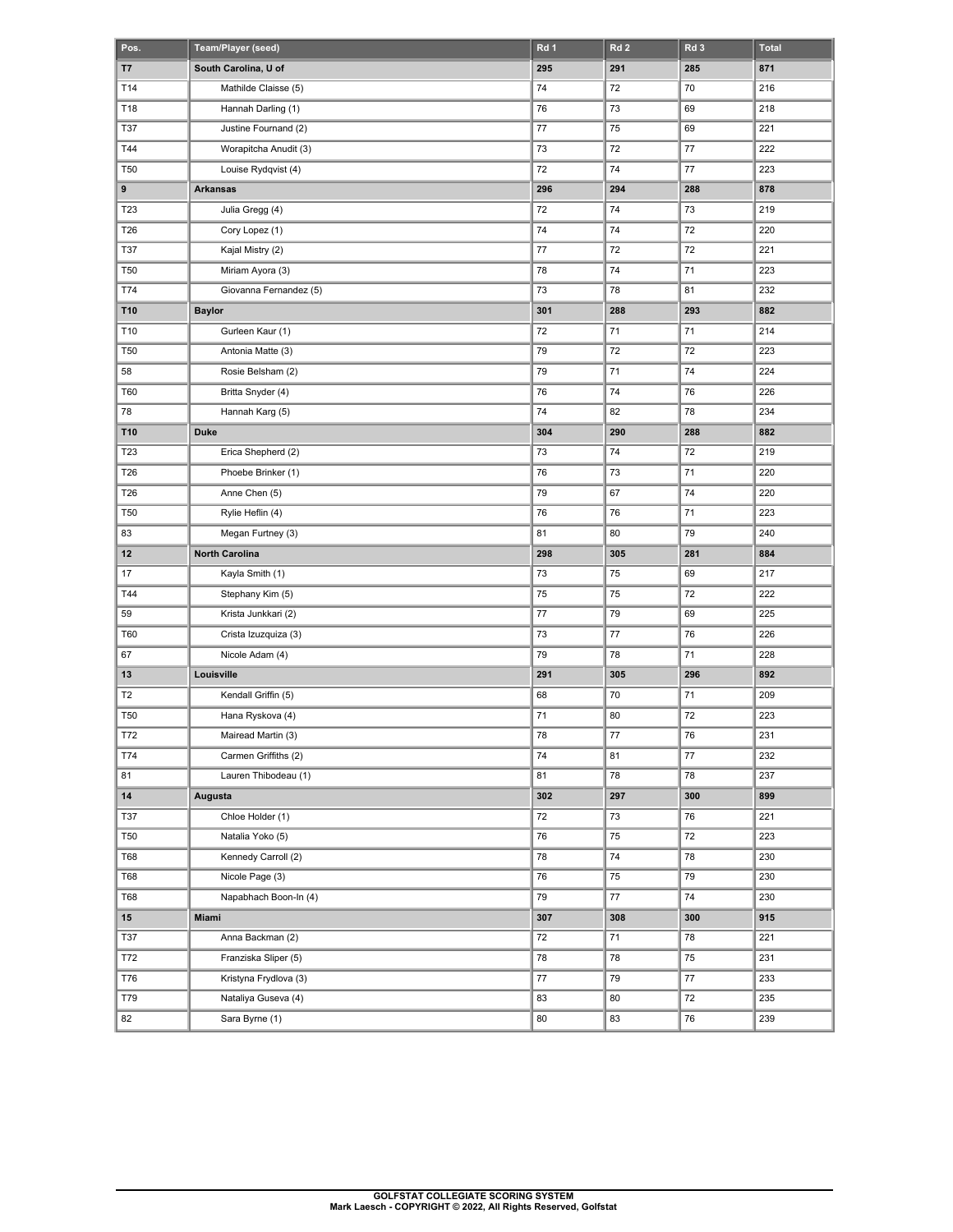| Pos.           | Team/Player (seed)                    | Rd 1     | Rd <sub>2</sub> | Rd 3     | Total      |
|----------------|---------------------------------------|----------|-----------------|----------|------------|
| T7             | South Carolina, U of                  | 295      | 291             | 285      | 871        |
| T14            | Mathilde Claisse (5)                  | 74       | 72              | 70       | 216        |
| T18            | Hannah Darling (1)                    | 76       | 73              | 69       | 218        |
| T37            | Justine Fournand (2)                  | 77       | 75              | 69       | 221        |
| T44            | Worapitcha Anudit (3)                 | 73       | 72              | 77       | 222        |
| <b>T50</b>     | Louise Rydqvist (4)                   | 72       | 74              | 77       | 223        |
| 9              | <b>Arkansas</b>                       | 296      | 294             | 288      | 878        |
| T23            | Julia Gregg (4)                       | 72       | 74              | 73       | 219        |
| T26            | Cory Lopez (1)                        | 74       | 74              | 72       | 220        |
| T37            | Kajal Mistry (2)                      | 77       | 72              | 72       | 221        |
| <b>T50</b>     | Miriam Ayora (3)                      | 78       | 74              | 71       | 223        |
| T74            | Giovanna Fernandez (5)                | 73       | 78              | 81       | 232        |
| T10            | <b>Baylor</b>                         | 301      | 288             | 293      | 882        |
| T10            | Gurleen Kaur (1)                      | 72       | 71              | 71       | 214        |
| <b>T50</b>     | Antonia Matte (3)                     | 79       | 72              | 72       | 223        |
| 58             | Rosie Belsham (2)                     | 79       | 71              | 74       | 224        |
| T60            | Britta Snyder (4)                     | 76       | 74              | 76       | 226        |
| 78             | Hannah Karg (5)                       | 74       | 82              | 78       | 234        |
| T10            | <b>Duke</b>                           | 304      | 290             | 288      | 882        |
| T23            | Erica Shepherd (2)                    | 73       | 74              | 72       | 219        |
| T26            | Phoebe Brinker (1)                    | 76       | 73              | 71       | 220        |
| T26            | Anne Chen (5)                         | 79       | 67              | 74       | 220        |
| <b>T50</b>     | Rylie Heflin (4)                      | 76       | 76              | 71       | 223        |
| 83             | Megan Furtney (3)                     | 81       | 80              | 79       | 240        |
| $12 \,$        | <b>North Carolina</b>                 | 298      | 305             | 281      | 884        |
| 17             | Kayla Smith (1)                       | 73       | 75              | 69       | 217        |
| T44            | Stephany Kim (5)                      | 75       | 75              | 72       | 222        |
| 59             | Krista Junkkari (2)                   | 77       | 79              | 69       | 225        |
| T60            | Crista Izuzquiza (3)                  | 73       | 77              | 76       | 226        |
| 67             | Nicole Adam (4)                       | 79       | 78              | 71       | 228        |
| 13             |                                       |          |                 |          |            |
|                | Louisville                            | 291      | 305             | 296      | 892        |
| T <sub>2</sub> | Kendall Griffin (5)                   | 68       | 70              | 71       | 209        |
| <b>T50</b>     | Hana Ryskova (4)                      | 71       | 80              | 72       | 223        |
| T72            | Mairead Martin (3)                    | 78       | $77 \,$         | 76       | 231        |
| T74            | Carmen Griffiths (2)                  | 74       | 81              | 77       | 232        |
| 81             | Lauren Thibodeau (1)                  | 81       | 78              | 78       | 237        |
| 14             | Augusta                               | 302      | 297             | 300      | 899        |
| T37            | Chloe Holder (1)                      | 72       | 73              | 76       | 221        |
| <b>T50</b>     | Natalia Yoko (5)                      | 76       | 75              | 72       | 223        |
| T68            | Kennedy Carroll (2)                   | 78       | 74              | 78       | 230        |
| T68            | Nicole Page (3)                       | 76       | 75              | 79       | 230        |
| T68            | Napabhach Boon-In (4)                 | 79       | 77              | 74       | 230        |
| 15             | Miami                                 | 307      | 308             | 300      | 915        |
| T37            | Anna Backman (2)                      | 72       | 71              | 78       | 221        |
| T72            | Franziska Sliper (5)                  | 78       | 78              | 75       | 231        |
| T76            | Kristyna Frydlova (3)                 | 77       | 79              | 77       | 233        |
| T79<br>82      | Nataliya Guseva (4)<br>Sara Byrne (1) | 83<br>80 | 80<br>83        | 72<br>76 | 235<br>239 |